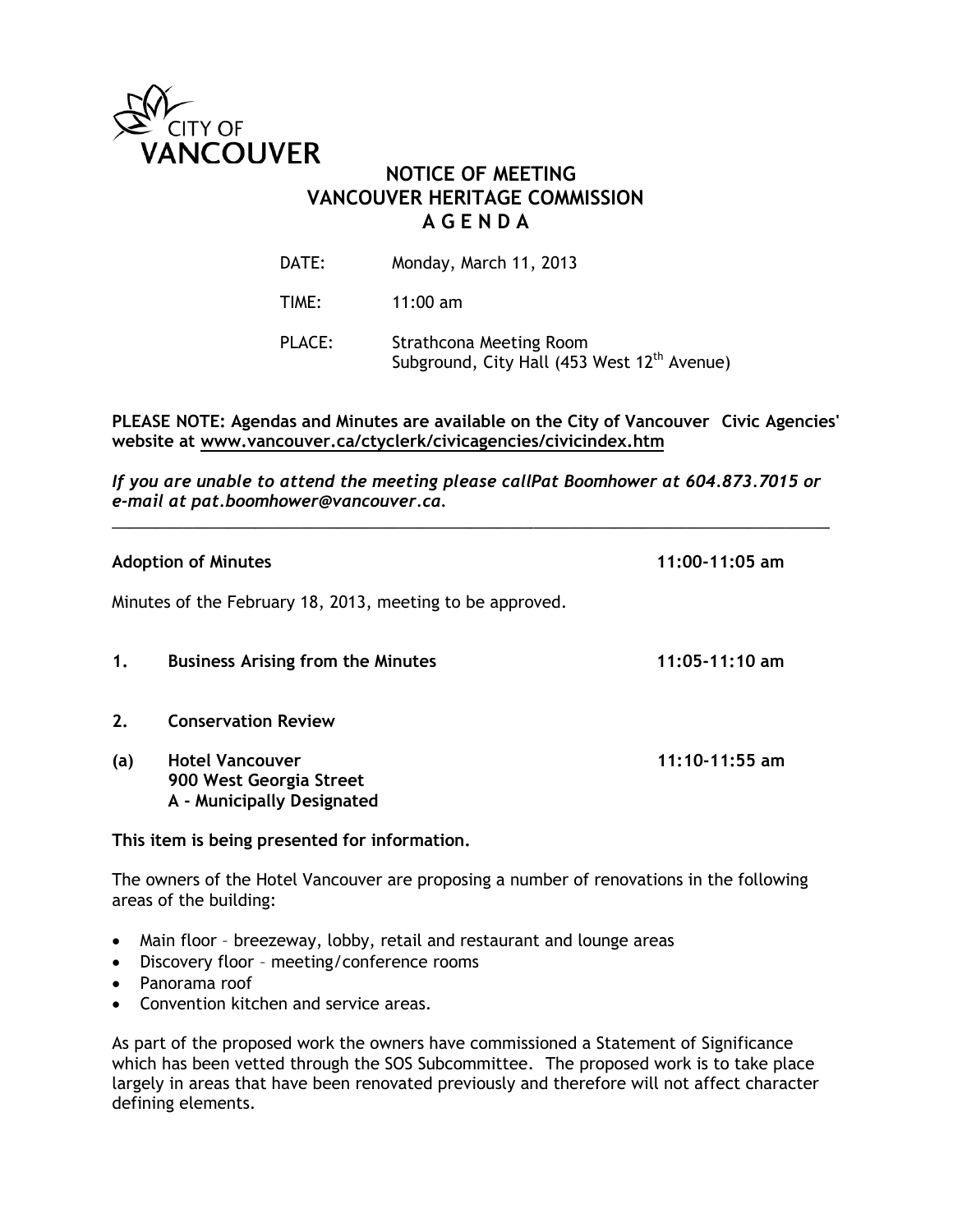

# **NOTICE OF MEETING VANCOUVER HERITAGE COMMISSION A G E N D A**

| DATE:         | Monday, March 11, 2013                                                             |
|---------------|------------------------------------------------------------------------------------|
| TIME:         | $11:00$ am                                                                         |
| <b>PLACE:</b> | Strathcona Meeting Room<br>Subground, City Hall (453 West 12 <sup>th</sup> Avenue) |

## **PLEASE NOTE: Agendas and Minutes are available on the City of Vancouver Civic Agencies' website at www.vancouver.ca/ctyclerk/civicagencies/civicindex.htm**

*If you are unable to attend the meeting please callPat Boomhower at 604.873.7015 or e-mail at pat.boomhower@vancouver.ca.* \_\_\_\_\_\_\_\_\_\_\_\_\_\_\_\_\_\_\_\_\_\_\_\_\_\_\_\_\_\_\_\_\_\_\_\_\_\_\_\_\_\_\_\_\_\_\_\_\_\_\_\_\_\_\_\_\_\_\_\_\_\_\_\_\_\_\_\_\_\_\_\_\_\_\_\_\_\_\_\_

| <b>Adoption of Minutes</b>                                |                                                                                 | $11:00-11:05$ am   |
|-----------------------------------------------------------|---------------------------------------------------------------------------------|--------------------|
| Minutes of the February 18, 2013, meeting to be approved. |                                                                                 |                    |
| 1.                                                        | <b>Business Arising from the Minutes</b>                                        | $11:05 - 11:10$ am |
| 2.                                                        | <b>Conservation Review</b>                                                      |                    |
| (a)                                                       | <b>Hotel Vancouver</b><br>900 West Georgia Street<br>A - Municipally Designated | $11:10-11:55$ am   |

**This item is being presented for information.** 

The owners of the Hotel Vancouver are proposing a number of renovations in the following areas of the building:

- Main floor breezeway, lobby, retail and restaurant and lounge areas
- Discovery floor meeting/conference rooms
- Panorama roof
- Convention kitchen and service areas.

As part of the proposed work the owners have commissioned a Statement of Significance which has been vetted through the SOS Subcommittee. The proposed work is to take place largely in areas that have been renovated previously and therefore will not affect character defining elements.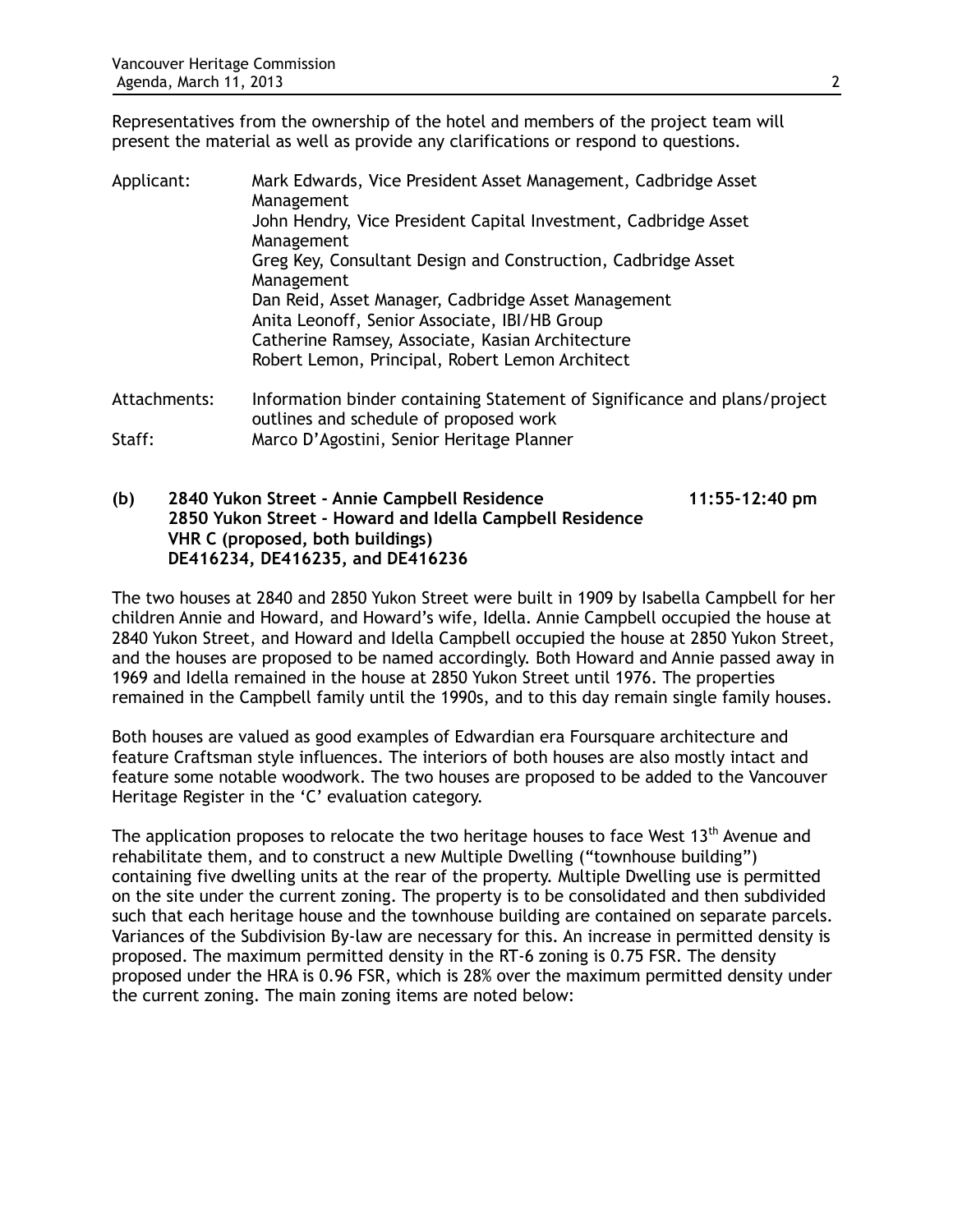Representatives from the ownership of the hotel and members of the project team will present the material as well as provide any clarifications or respond to questions.

| Applicant:   | Mark Edwards, Vice President Asset Management, Cadbridge Asset<br>Management                                        |
|--------------|---------------------------------------------------------------------------------------------------------------------|
|              | John Hendry, Vice President Capital Investment, Cadbridge Asset<br>Management                                       |
|              | Greg Key, Consultant Design and Construction, Cadbridge Asset<br>Management                                         |
|              | Dan Reid, Asset Manager, Cadbridge Asset Management                                                                 |
|              | Anita Leonoff, Senior Associate, IBI/HB Group                                                                       |
|              | Catherine Ramsey, Associate, Kasian Architecture                                                                    |
|              | Robert Lemon, Principal, Robert Lemon Architect                                                                     |
| Attachments: | Information binder containing Statement of Significance and plans/project<br>outlines and schedule of proposed work |
| Staff:       | Marco D'Agostini, Senior Heritage Planner                                                                           |

**(b) 2840 Yukon Street - Annie Campbell Residence 11:55-12:40 pm 2850 Yukon Street - Howard and Idella Campbell Residence VHR C (proposed, both buildings) DE416234, DE416235, and DE416236**

The two houses at 2840 and 2850 Yukon Street were built in 1909 by Isabella Campbell for her children Annie and Howard, and Howard's wife, Idella. Annie Campbell occupied the house at 2840 Yukon Street, and Howard and Idella Campbell occupied the house at 2850 Yukon Street, and the houses are proposed to be named accordingly. Both Howard and Annie passed away in 1969 and Idella remained in the house at 2850 Yukon Street until 1976. The properties remained in the Campbell family until the 1990s, and to this day remain single family houses.

Both houses are valued as good examples of Edwardian era Foursquare architecture and feature Craftsman style influences. The interiors of both houses are also mostly intact and feature some notable woodwork. The two houses are proposed to be added to the Vancouver Heritage Register in the 'C' evaluation category.

The application proposes to relocate the two heritage houses to face West  $13<sup>th</sup>$  Avenue and rehabilitate them, and to construct a new Multiple Dwelling ("townhouse building") containing five dwelling units at the rear of the property. Multiple Dwelling use is permitted on the site under the current zoning. The property is to be consolidated and then subdivided such that each heritage house and the townhouse building are contained on separate parcels. Variances of the Subdivision By-law are necessary for this. An increase in permitted density is proposed. The maximum permitted density in the RT-6 zoning is 0.75 FSR. The density proposed under the HRA is 0.96 FSR, which is 28% over the maximum permitted density under the current zoning. The main zoning items are noted below: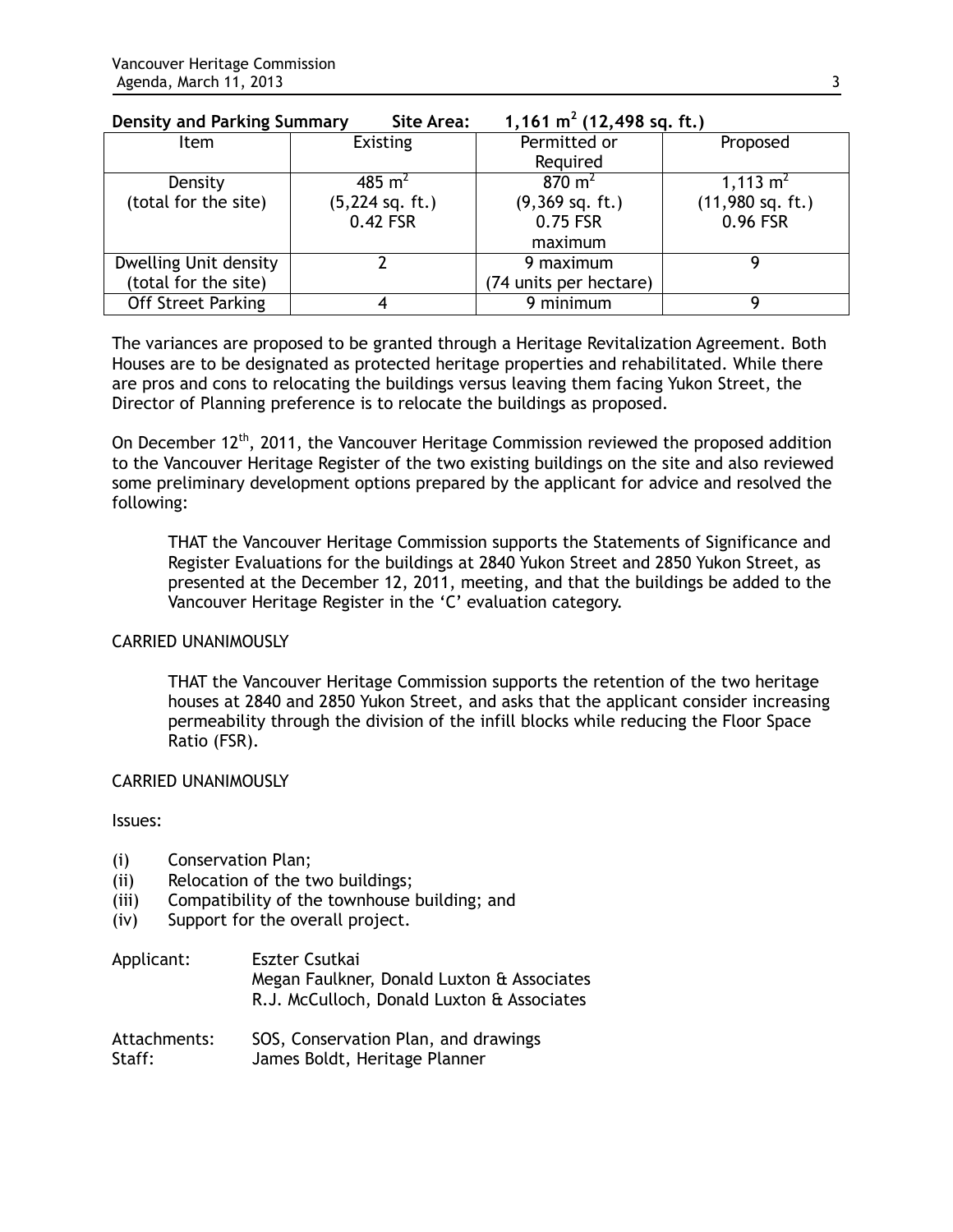| Delisity dilu Parking Summary<br>Site Ared.<br>I, IO I III (IZ, 470 SQ. IL.) |                           |                    |
|------------------------------------------------------------------------------|---------------------------|--------------------|
| <b>Existing</b>                                                              | Permitted or              | Proposed           |
|                                                                              | Required                  |                    |
| 485 m <sup>2</sup>                                                           | $870 \; \text{m}^2$       | 1,113 $m2$         |
| $(5,224$ sq. ft.)                                                            | $(9,369 \text{ sq. ft.})$ | $(11,980$ sq. ft.) |
| 0.42 FSR                                                                     | 0.75 FSR                  | 0.96 FSR           |
|                                                                              | maximum                   |                    |
|                                                                              | 9 maximum                 |                    |
|                                                                              | (74 units per hectare)    |                    |
|                                                                              | 9 minimum                 |                    |
|                                                                              |                           |                    |

#### **Density and Parking Summary Site Area: 1,161 m<sup>2</sup>**  $(1,464)$   $\frac{1}{2}(12,108)$   $\frac{1}{2}(1,1)$

The variances are proposed to be granted through a Heritage Revitalization Agreement. Both Houses are to be designated as protected heritage properties and rehabilitated. While there are pros and cons to relocating the buildings versus leaving them facing Yukon Street, the Director of Planning preference is to relocate the buildings as proposed.

On December 12<sup>th</sup>, 2011, the Vancouver Heritage Commission reviewed the proposed addition to the Vancouver Heritage Register of the two existing buildings on the site and also reviewed some preliminary development options prepared by the applicant for advice and resolved the following:

THAT the Vancouver Heritage Commission supports the Statements of Significance and Register Evaluations for the buildings at 2840 Yukon Street and 2850 Yukon Street, as presented at the December 12, 2011, meeting, and that the buildings be added to the Vancouver Heritage Register in the 'C' evaluation category.

## CARRIED UNANIMOUSLY

THAT the Vancouver Heritage Commission supports the retention of the two heritage houses at 2840 and 2850 Yukon Street, and asks that the applicant consider increasing permeability through the division of the infill blocks while reducing the Floor Space Ratio (FSR).

## CARRIED UNANIMOUSLY

Issues:

- (i) Conservation Plan;
- (ii) Relocation of the two buildings;
- (iii) Compatibility of the townhouse building; and
- (iv) Support for the overall project.

| Applicant: | Eszter Csutkai                             |
|------------|--------------------------------------------|
|            | Megan Faulkner, Donald Luxton & Associates |
|            | R.J. McCulloch, Donald Luxton & Associates |
|            |                                            |

Attachments: SOS, Conservation Plan, and drawings Staff: James Boldt, Heritage Planner